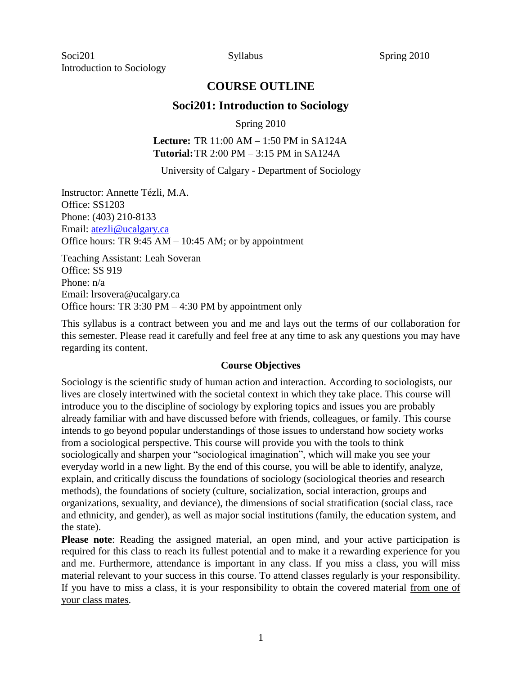# **COURSE OUTLINE**

## **Soci201: Introduction to Sociology**

Spring 2010

### **Lecture:** TR 11:00 AM – 1:50 PM in SA124A **Tutorial:**TR 2:00 PM – 3:15 PM in SA124A

University of Calgary - Department of Sociology

Instructor: Annette Tézli, M.A. Office: SS1203 Phone: (403) 210-8133 Email: [atezli@ucalgary.ca](mailto:atezli@ucalgary.ca) Office hours: TR 9:45 AM – 10:45 AM; or by appointment

Teaching Assistant: Leah Soveran Office: SS 919 Phone: n/a Email: lrsovera@ucalgary.ca Office hours: TR 3:30 PM – 4:30 PM by appointment only

This syllabus is a contract between you and me and lays out the terms of our collaboration for this semester. Please read it carefully and feel free at any time to ask any questions you may have regarding its content.

#### **Course Objectives**

Sociology is the scientific study of human action and interaction. According to sociologists, our lives are closely intertwined with the societal context in which they take place. This course will introduce you to the discipline of sociology by exploring topics and issues you are probably already familiar with and have discussed before with friends, colleagues, or family. This course intends to go beyond popular understandings of those issues to understand how society works from a sociological perspective. This course will provide you with the tools to think sociologically and sharpen your "sociological imagination", which will make you see your everyday world in a new light. By the end of this course, you will be able to identify, analyze, explain, and critically discuss the foundations of sociology (sociological theories and research methods), the foundations of society (culture, socialization, social interaction, groups and organizations, sexuality, and deviance), the dimensions of social stratification (social class, race and ethnicity, and gender), as well as major social institutions (family, the education system, and the state).

**Please note**: Reading the assigned material, an open mind, and your active participation is required for this class to reach its fullest potential and to make it a rewarding experience for you and me. Furthermore, attendance is important in any class. If you miss a class, you will miss material relevant to your success in this course. To attend classes regularly is your responsibility. If you have to miss a class, it is your responsibility to obtain the covered material from one of your class mates.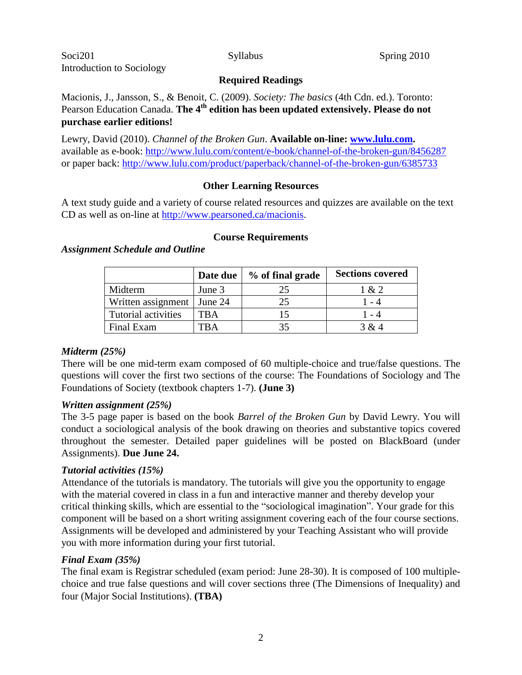#### **Required Readings**

Macionis, J., Jansson, S., & Benoit, C. (2009). *Society: The basics* (4th Cdn. ed.). Toronto: Pearson Education Canada. **The 4th edition has been updated extensively. Please do not purchase earlier editions!**

Lewry, David (2010). *Channel of the Broken Gun*. **Available on-line: [www.lulu.com.](http://www.lulu.com/)** available as e-book:<http://www.lulu.com/content/e-book/channel-of-the-broken-gun/8456287> or paper back:<http://www.lulu.com/product/paperback/channel-of-the-broken-gun/6385733>

## **Other Learning Resources**

A text study guide and a variety of course related resources and quizzes are available on the text CD as well as on-line at [http://www.pearsoned.ca/macionis.](http://www.pearsoned.ca/macionis)

#### **Course Requirements**

|                              | Date due | % of final grade | <b>Sections covered</b> |
|------------------------------|----------|------------------|-------------------------|
| Midterm                      | June 3   |                  | 1 & 2                   |
| Written assignment   June 24 |          |                  | 1 - 4                   |
| Tutorial activities          | TBA      |                  | $1 - 4$                 |
| Final Exam                   | `K A     |                  | 3 & 4                   |

#### *Assignment Schedule and Outline*

## *Midterm (25%)*

There will be one mid-term exam composed of 60 multiple-choice and true/false questions. The questions will cover the first two sections of the course: The Foundations of Sociology and The Foundations of Society (textbook chapters 1-7). **(June 3)** 

## *Written assignment (25%)*

The 3-5 page paper is based on the book *Barrel of the Broken Gun* by David Lewry. You will conduct a sociological analysis of the book drawing on theories and substantive topics covered throughout the semester. Detailed paper guidelines will be posted on BlackBoard (under Assignments). **Due June 24.** 

## *Tutorial activities (15%)*

Attendance of the tutorials is mandatory. The tutorials will give you the opportunity to engage with the material covered in class in a fun and interactive manner and thereby develop your critical thinking skills, which are essential to the "sociological imagination". Your grade for this component will be based on a short writing assignment covering each of the four course sections. Assignments will be developed and administered by your Teaching Assistant who will provide you with more information during your first tutorial.

## *Final Exam (35%)*

The final exam is Registrar scheduled (exam period: June 28-30). It is composed of 100 multiplechoice and true false questions and will cover sections three (The Dimensions of Inequality) and four (Major Social Institutions). **(TBA)**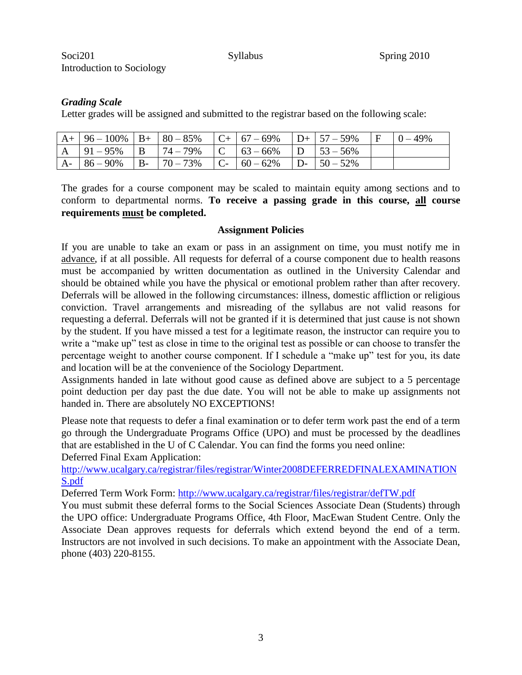## *Grading Scale*

Letter grades will be assigned and submitted to the registrar based on the following scale:

|  | $R_+$   96 - 100%   B+   80 - 85%   C+   67 - 69%   D+   57 - 59%   F   0 - 49%                     |  |  |  |
|--|-----------------------------------------------------------------------------------------------------|--|--|--|
|  | $\mid$ A $\mid$ 91 – 95% $\mid$ B $\mid$ 74 – 79% $\mid$ C $\mid$ 63 – 66% $\mid$ D $\mid$ 53 – 56% |  |  |  |
|  | $A - 86 - 90\%$ B- $70 - 73\%$ C- $60 - 62\%$ D- $50 - 52\%$                                        |  |  |  |

The grades for a course component may be scaled to maintain equity among sections and to conform to departmental norms. **To receive a passing grade in this course, all course requirements must be completed.**

#### **Assignment Policies**

If you are unable to take an exam or pass in an assignment on time, you must notify me in advance, if at all possible. All requests for deferral of a course component due to health reasons must be accompanied by written documentation as outlined in the University Calendar and should be obtained while you have the physical or emotional problem rather than after recovery. Deferrals will be allowed in the following circumstances: illness, domestic affliction or religious conviction. Travel arrangements and misreading of the syllabus are not valid reasons for requesting a deferral. Deferrals will not be granted if it is determined that just cause is not shown by the student. If you have missed a test for a legitimate reason, the instructor can require you to write a "make up" test as close in time to the original test as possible or can choose to transfer the percentage weight to another course component. If I schedule a "make up" test for you, its date and location will be at the convenience of the Sociology Department.

Assignments handed in late without good cause as defined above are subject to a 5 percentage point deduction per day past the due date. You will not be able to make up assignments not handed in. There are absolutely NO EXCEPTIONS!

Please note that requests to defer a final examination or to defer term work past the end of a term go through the Undergraduate Programs Office (UPO) and must be processed by the deadlines that are established in the U of C Calendar. You can find the forms you need online: Deferred Final Exam Application:

[http://www.ucalgary.ca/registrar/files/registrar/Winter2008DEFERREDFINALEXAMINATION](http://www.ucalgary.ca/registrar/files/registrar/Winter2008DEFERREDFINALEXAMINATIONS.pdf) [S.pdf](http://www.ucalgary.ca/registrar/files/registrar/Winter2008DEFERREDFINALEXAMINATIONS.pdf)

Deferred Term Work Form:<http://www.ucalgary.ca/registrar/files/registrar/defTW.pdf>

You must submit these deferral forms to the Social Sciences Associate Dean (Students) through the UPO office: Undergraduate Programs Office, 4th Floor, MacEwan Student Centre. Only the Associate Dean approves requests for deferrals which extend beyond the end of a term. Instructors are not involved in such decisions. To make an appointment with the Associate Dean, phone (403) 220-8155.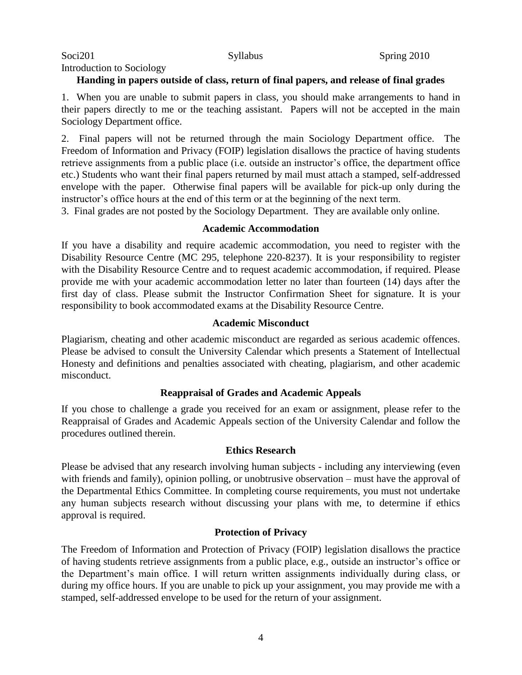Introduction to Sociology

## **Handing in papers outside of class, return of final papers, and release of final grades**

1. When you are unable to submit papers in class, you should make arrangements to hand in their papers directly to me or the teaching assistant. Papers will not be accepted in the main Sociology Department office.

2. Final papers will not be returned through the main Sociology Department office. The Freedom of Information and Privacy (FOIP) legislation disallows the practice of having students retrieve assignments from a public place (i.e. outside an instructor's office, the department office etc.) Students who want their final papers returned by mail must attach a stamped, self-addressed envelope with the paper. Otherwise final papers will be available for pick-up only during the instructor's office hours at the end of this term or at the beginning of the next term.

3. Final grades are not posted by the Sociology Department. They are available only online.

### **Academic Accommodation**

If you have a disability and require academic accommodation, you need to register with the Disability Resource Centre (MC 295, telephone 220-8237). It is your responsibility to register with the Disability Resource Centre and to request academic accommodation, if required. Please provide me with your academic accommodation letter no later than fourteen (14) days after the first day of class. Please submit the Instructor Confirmation Sheet for signature. It is your responsibility to book accommodated exams at the Disability Resource Centre.

### **Academic Misconduct**

Plagiarism, cheating and other academic misconduct are regarded as serious academic offences. Please be advised to consult the University Calendar which presents a Statement of Intellectual Honesty and definitions and penalties associated with cheating, plagiarism, and other academic misconduct.

## **Reappraisal of Grades and Academic Appeals**

If you chose to challenge a grade you received for an exam or assignment, please refer to the Reappraisal of Grades and Academic Appeals section of the University Calendar and follow the procedures outlined therein.

#### **Ethics Research**

Please be advised that any research involving human subjects - including any interviewing (even with friends and family), opinion polling, or unobtrusive observation – must have the approval of the Departmental Ethics Committee. In completing course requirements, you must not undertake any human subjects research without discussing your plans with me, to determine if ethics approval is required.

## **Protection of Privacy**

The Freedom of Information and Protection of Privacy (FOIP) legislation disallows the practice of having students retrieve assignments from a public place, e.g., outside an instructor's office or the Department's main office. I will return written assignments individually during class, or during my office hours. If you are unable to pick up your assignment, you may provide me with a stamped, self-addressed envelope to be used for the return of your assignment.